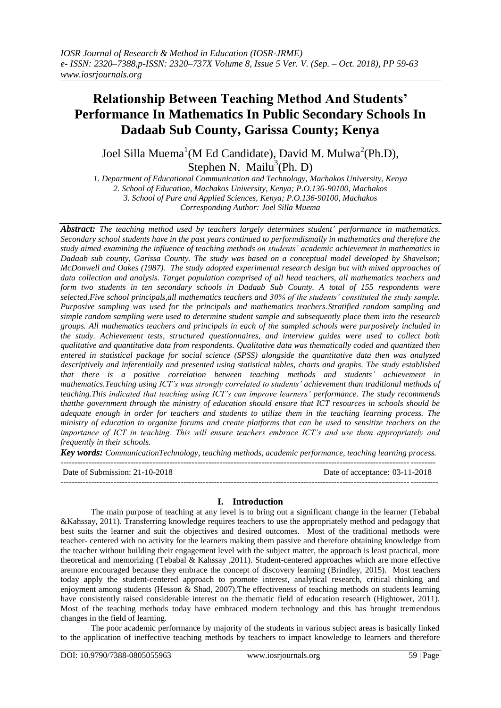# **Relationship Between Teaching Method And Students' Performance In Mathematics In Public Secondary Schools In Dadaab Sub County, Garissa County; Kenya**

Joel Silla Muema<sup>1</sup>(M Ed Candidate), David M. Mulwa<sup>2</sup>(Ph.D), Stephen N. Mail $u^3$ (Ph. D)

*1. Department of Educational Communication and Technology, Machakos University, Kenya 2. School of Education, Machakos University, Kenya; P.O.136-90100, Machakos 3. School of Pure and Applied Sciences, Kenya; P.O.136-90100, Machakos Corresponding Author: Joel Silla Muema*

*Abstract: The teaching method used by teachers largely determines student' performance in mathematics. Secondary school students have in the past years continued to performdismally in mathematics and therefore the study aimed examining the influence of teaching methods on students' academic achievement in mathematics in Dadaab sub county, Garissa County. The study was based on a conceptual model developed by Shavelson; McDonwell and Oakes (1987). The study adopted experimental research design but with mixed approaches of data collection and analysis. Target population comprised of all head teachers, all mathematics teachers and form two students in ten secondary schools in Dadaab Sub County. A total of 155 respondents were selected.Five school principals,all mathematics teachers and 30% of the students' constituted the study sample. Purposive sampling was used for the principals and mathematics teachers.Stratified random sampling and simple random sampling were used to determine student sample and subsequently place them into the research groups. All mathematics teachers and principals in each of the sampled schools were purposively included in the study. Achievement tests, structured questionnaires, and interview guides were used to collect both qualitative and quantitative data from respondents. Qualitative data was thematically coded and quantized then entered in statistical package for social science (SPSS) alongside the quantitative data then was analyzed descriptively and inferentially and presented using statistical tables, charts and graphs. The study established that there is a positive correlation between teaching methods and students' achievement in mathematics.Teaching using ICT's was strongly correlated to students' achievement than traditional methods of teaching.This indicated that teaching using ICT's can improve learners' performance. The study recommends thatthe government through the ministry of education should ensure that ICT resources in schools should be adequate enough in order for teachers and students to utilize them in the teaching learning process. The ministry of education to organize forums and create platforms that can be used to sensitize teachers on the importance of ICT in teaching. This will ensure teachers embrace ICT's and use them appropriately and frequently in their schools.*

*Key words: CommunicationTechnology, teaching methods, academic performance, teaching learning process.*

-------------------------------------------------------------------------------------------------------------------------------------- Date of Submission: 21-10-2018 Date of acceptance: 03-11-2018 ---------------------------------------------------------------------------------------------------------------------------------------

## **I. Introduction**

The main purpose of teaching at any level is to bring out a significant change in the learner (Tebabal &Kahssay, 2011). Transferring knowledge requires teachers to use the appropriately method and pedagogy that best suits the learner and suit the objectives and desired outcomes. Most of the traditional methods were teacher- centered with no activity for the learners making them passive and therefore obtaining knowledge from the teacher without building their engagement level with the subject matter, the approach is least practical, more theoretical and memorizing (Tebabal & Kahssay ,2011). Student-centered approaches which are more effective aremore encouraged because they embrace the concept of discovery learning (Brindley, 2015). Most teachers today apply the student-centered approach to promote interest, analytical research, critical thinking and enjoyment among students (Hesson & Shad, 2007).The effectiveness of teaching methods on students learning have consistently raised considerable interest on the thematic field of education research (Hightower, 2011). Most of the teaching methods today have embraced modern technology and this has brought tremendous changes in the field of learning.

The poor academic performance by majority of the students in various subject areas is basically linked to the application of ineffective teaching methods by teachers to impact knowledge to learners and therefore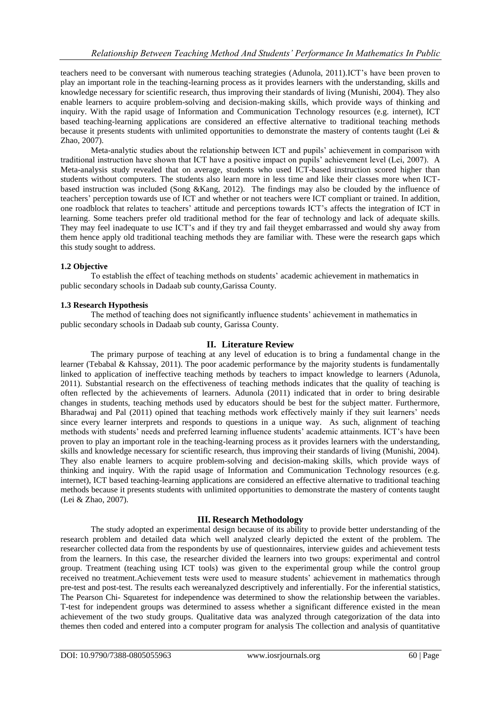teachers need to be conversant with numerous teaching strategies (Adunola, 2011).ICT's have been proven to play an important role in the teaching-learning process as it provides learners with the understanding, skills and knowledge necessary for scientific research, thus improving their standards of living (Munishi, 2004). They also enable learners to acquire problem-solving and decision-making skills, which provide ways of thinking and inquiry. With the rapid usage of Information and Communication Technology resources (e.g. internet), ICT based teaching-learning applications are considered an effective alternative to traditional teaching methods because it presents students with unlimited opportunities to demonstrate the mastery of contents taught (Lei & Zhao, 2007).

Meta-analytic studies about the relationship between ICT and pupils' achievement in comparison with traditional instruction have shown that ICT have a positive impact on pupils' achievement level (Lei, 2007). A Meta-analysis study revealed that on average, students who used ICT-based instruction scored higher than students without computers. The students also learn more in less time and like their classes more when ICTbased instruction was included (Song &Kang, 2012). The findings may also be clouded by the influence of teachers' perception towards use of ICT and whether or not teachers were ICT compliant or trained. In addition, one roadblock that relates to teachers' attitude and perceptions towards ICT's affects the integration of ICT in learning. Some teachers prefer old traditional method for the fear of technology and lack of adequate skills. They may feel inadequate to use ICT's and if they try and fail theyget embarrassed and would shy away from them hence apply old traditional teaching methods they are familiar with. These were the research gaps which this study sought to address.

## **1.2 Objective**

To establish the effect of teaching methods on students' academic achievement in mathematics in public secondary schools in Dadaab sub county,Garissa County.

## **1.3 Research Hypothesis**

The method of teaching does not significantly influence students' achievement in mathematics in public secondary schools in Dadaab sub county, Garissa County.

## **II. Literature Review**

The primary purpose of teaching at any level of education is to bring a fundamental change in the learner (Tebabal & Kahssay, 2011). The poor academic performance by the majority students is fundamentally linked to application of ineffective teaching methods by teachers to impact knowledge to learners (Adunola, 2011). Substantial research on the effectiveness of teaching methods indicates that the quality of teaching is often reflected by the achievements of learners. Adunola (2011) indicated that in order to bring desirable changes in students, teaching methods used by educators should be best for the subject matter. Furthermore, Bharadwaj and Pal (2011) opined that teaching methods work effectively mainly if they suit learners' needs since every learner interprets and responds to questions in a unique way. As such, alignment of teaching methods with students' needs and preferred learning influence students' academic attainments. ICT's have been proven to play an important role in the teaching-learning process as it provides learners with the understanding, skills and knowledge necessary for scientific research, thus improving their standards of living (Munishi, 2004). They also enable learners to acquire problem-solving and decision-making skills, which provide ways of thinking and inquiry. With the rapid usage of Information and Communication Technology resources (e.g. internet), ICT based teaching-learning applications are considered an effective alternative to traditional teaching methods because it presents students with unlimited opportunities to demonstrate the mastery of contents taught (Lei & Zhao, 2007).

## **III. Research Methodology**

The study adopted an experimental design because of its ability to provide better understanding of the research problem and detailed data which well analyzed clearly depicted the extent of the problem. The researcher collected data from the respondents by use of questionnaires, interview guides and achievement tests from the learners. In this case, the researcher divided the learners into two groups: experimental and control group. Treatment (teaching using ICT tools) was given to the experimental group while the control group received no treatment.Achievement tests were used to measure students' achievement in mathematics through pre-test and post-test. The results each wereanalyzed descriptively and inferentially. For the inferential statistics, The Pearson Chi- Squaretest for independence was determined to show the relationship between the variables. T-test for independent groups was determined to assess whether a significant difference existed in the mean achievement of the two study groups. Qualitative data was analyzed through categorization of the data into themes then coded and entered into a computer program for analysis The collection and analysis of quantitative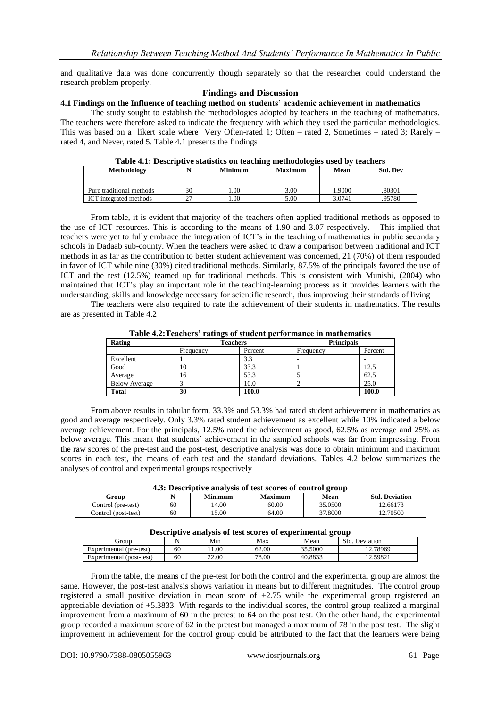and qualitative data was done concurrently though separately so that the researcher could understand the research problem properly.

#### **Findings and Discussion**

#### **4.1 Findings on the Influence of teaching method on students' academic achievement in mathematics**

The study sought to establish the methodologies adopted by teachers in the teaching of mathematics. The teachers were therefore asked to indicate the frequency with which they used the particular methodologies. This was based on a likert scale where Very Often-rated 1; Often – rated 2, Sometimes – rated 3; Rarely – rated 4, and Never, rated 5. Table 4.1 presents the findings

| <b>Table 4.1.</b> Descriptive statistics on teaching includuologies used by teachers |    |                  |                |        |                 |  |  |  |
|--------------------------------------------------------------------------------------|----|------------------|----------------|--------|-----------------|--|--|--|
| Methodology                                                                          |    | <b>Minimum</b>   | <b>Maximum</b> | Mean   | <b>Std. Dev</b> |  |  |  |
|                                                                                      |    |                  |                |        |                 |  |  |  |
| Pure traditional methods                                                             | 30 | .00 <sub>1</sub> | 3.00           | .9000  | .80301          |  |  |  |
| ICT integrated methods                                                               |    | .00              | 5.00           | 3.0741 | 95780           |  |  |  |

**Table 4.1: Descriptive statistics on teaching methodologies used by teachers**

From table, it is evident that majority of the teachers often applied traditional methods as opposed to the use of ICT resources. This is according to the means of 1.90 and 3.07 respectively. This implied that teachers were yet to fully embrace the integration of ICT's in the teaching of mathematics in public secondary schools in Dadaab sub-county. When the teachers were asked to draw a comparison between traditional and ICT methods in as far as the contribution to better student achievement was concerned, 21 (70%) of them responded in favor of ICT while nine (30%) cited traditional methods. Similarly, 87.5% of the principals favored the use of ICT and the rest (12.5%) teamed up for traditional methods. This is consistent with Munishi, (2004) who maintained that ICT's play an important role in the teaching-learning process as it provides learners with the understanding, skills and knowledge necessary for scientific research, thus improving their standards of living

The teachers were also required to rate the achievement of their students in mathematics. The results are as presented in Table 4.2

| Rating    | <b>Teachers</b> |             | <b>Principals</b> |          |  |
|-----------|-----------------|-------------|-------------------|----------|--|
|           | Frequency       | Percent     | Frequency         | Percent  |  |
| Excellent |                 | ر. ر        | -                 | -        |  |
| Good      | U               | 222<br>JJ.J |                   | ل د که 1 |  |

Average 16 16 53.3 5 5 62.5 Below Average 1 3 10.0 2 25.0 **Total 30 100.0 100.0**

**Table 4.2:Teachers' ratings of student performance in mathematics**

From above results in tabular form, 33.3% and 53.3% had rated student achievement in mathematics as good and average respectively. Only 3.3% rated student achievement as excellent while 10% indicated a below average achievement. For the principals, 12.5% rated the achievement as good, 62.5% as average and 25% as below average. This meant that students' achievement in the sampled schools was far from impressing. From the raw scores of the pre-test and the post-test, descriptive analysis was done to obtain minimum and maximum scores in each test, the means of each test and the standard deviations. Tables 4.2 below summarizes the analyses of control and experimental groups respectively

| 4.3: Descriptive analysis of test scores of control group |    |                |                |         |                       |  |  |
|-----------------------------------------------------------|----|----------------|----------------|---------|-----------------------|--|--|
| Group                                                     |    | <b>Minimum</b> | <b>Maximum</b> | Mean    | <b>Std. Deviation</b> |  |  |
| Control (pre-test)                                        | 60 | 4.00           | 60.00          | 35.0500 | 12.66173              |  |  |
| Control (post-test)                                       | 60 | 5.00           | 64.00          | 37.8000 | 12.70500              |  |  |

|  | 4.3: Descriptive analysis of test scores of control group |  |  |  |  |  |
|--|-----------------------------------------------------------|--|--|--|--|--|
|--|-----------------------------------------------------------|--|--|--|--|--|

| Descriptive analysis of test scores of experimental group |  |  |  |  |  |  |
|-----------------------------------------------------------|--|--|--|--|--|--|
|-----------------------------------------------------------|--|--|--|--|--|--|

| -----                    |     |       |       |         |                   |  |  |
|--------------------------|-----|-------|-------|---------|-------------------|--|--|
| Group                    | . . | Min   | Max   | Mean    | Std.<br>Deviation |  |  |
| Experimental (pre-test)  | 60  | 1.00  | 62.00 | 35.5000 | 12.78969          |  |  |
| Experimental (post-test) | 60  | 22.00 | 78.00 | 40.8833 | 12.59821          |  |  |

From the table, the means of the pre-test for both the control and the experimental group are almost the same. However, the post-test analysis shows variation in means but to different magnitudes. The control group registered a small positive deviation in mean score of +2.75 while the experimental group registered an appreciable deviation of +5.3833. With regards to the individual scores, the control group realized a marginal improvement from a maximum of 60 in the pretest to 64 on the post test. On the other hand, the experimental group recorded a maximum score of 62 in the pretest but managed a maximum of 78 in the post test. The slight improvement in achievement for the control group could be attributed to the fact that the learners were being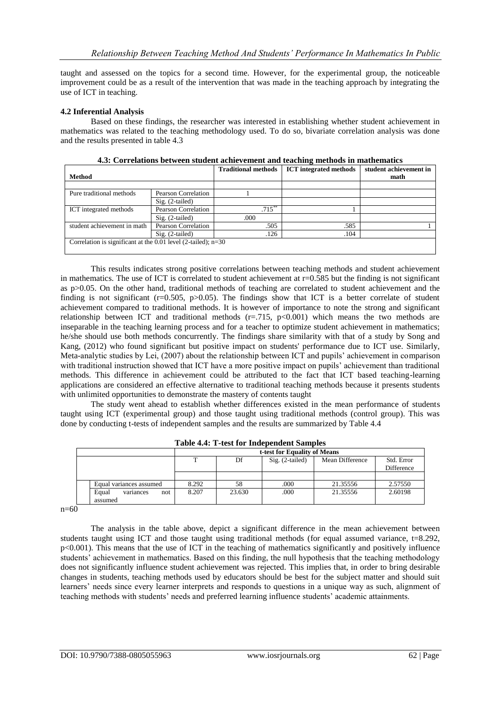taught and assessed on the topics for a second time. However, for the experimental group, the noticeable improvement could be as a result of the intervention that was made in the teaching approach by integrating the use of ICT in teaching.

#### **4.2 Inferential Analysis**

Based on these findings, the researcher was interested in establishing whether student achievement in mathematics was related to the teaching methodology used. To do so, bivariate correlation analysis was done and the results presented in table 4.3

| <u>collective of the collective companies and the collective mathematically therefore all themselves and</u> |                     |                            |                               |                        |  |  |  |  |
|--------------------------------------------------------------------------------------------------------------|---------------------|----------------------------|-------------------------------|------------------------|--|--|--|--|
|                                                                                                              |                     | <b>Traditional methods</b> | <b>ICT</b> integrated methods | student achievement in |  |  |  |  |
| <b>Method</b>                                                                                                |                     |                            |                               | math                   |  |  |  |  |
|                                                                                                              |                     |                            |                               |                        |  |  |  |  |
| Pure traditional methods                                                                                     | Pearson Correlation |                            |                               |                        |  |  |  |  |
|                                                                                                              | $Sig. (2-tailed)$   |                            |                               |                        |  |  |  |  |
| ICT integrated methods                                                                                       | Pearson Correlation | $.715***$                  |                               |                        |  |  |  |  |
|                                                                                                              | $Sig. (2-tailed)$   | .000                       |                               |                        |  |  |  |  |
| student achievement in math                                                                                  | Pearson Correlation | .505                       | .585                          |                        |  |  |  |  |
|                                                                                                              | $Sig. (2-tailed)$   | .126                       | .104                          |                        |  |  |  |  |
| Correlation is significant at the 0.01 level $(2$ -tailed); $n=30$                                           |                     |                            |                               |                        |  |  |  |  |
|                                                                                                              |                     |                            |                               |                        |  |  |  |  |

**4.3: Correlations between student achievement and teaching methods in mathematics**

This results indicates strong positive correlations between teaching methods and student achievement in mathematics. The use of ICT is correlated to student achievement at  $r=0.585$  but the finding is not significant as p>0.05. On the other hand, traditional methods of teaching are correlated to student achievement and the finding is not significant ( $r=0.505$ ,  $p>0.05$ ). The findings show that ICT is a better correlate of student achievement compared to traditional methods. It is however of importance to note the strong and significant relationship between ICT and traditional methods  $(r=.715, p<0.001)$  which means the two methods are inseparable in the teaching learning process and for a teacher to optimize student achievement in mathematics; he/she should use both methods concurrently. The findings share similarity with that of a study by Song and Kang, (2012) who found significant but positive impact on students' performance due to ICT use. Similarly, Meta-analytic studies by Lei, (2007) about the relationship between ICT and pupils' achievement in comparison with traditional instruction showed that ICT have a more positive impact on pupils' achievement than traditional methods. This difference in achievement could be attributed to the fact that ICT based teaching-learning applications are considered an effective alternative to traditional teaching methods because it presents students with unlimited opportunities to demonstrate the mastery of contents taught

The study went ahead to establish whether differences existed in the mean performance of students taught using ICT (experimental group) and those taught using traditional methods (control group). This was done by conducting t-tests of independent samples and the results are summarized by Table 4.4

|                                      | t-test for Equality of Means |        |                   |                 |                          |  |  |
|--------------------------------------|------------------------------|--------|-------------------|-----------------|--------------------------|--|--|
|                                      |                              | Df     | $Sig. (2-tailed)$ | Mean Difference | Std. Error<br>Difference |  |  |
|                                      |                              |        |                   |                 |                          |  |  |
| Equal variances assumed              | 8.292                        | 58     | .000              | 21.35556        | 2.57550                  |  |  |
| Equal<br>not<br>variances<br>assumed | 8.207                        | 23.630 | .000              | 21.35556        | 2.60198                  |  |  |

**Table 4.4: T-test for Independent Samples**

n=60

The analysis in the table above, depict a significant difference in the mean achievement between students taught using ICT and those taught using traditional methods (for equal assumed variance, t=8.292, p<0.001). This means that the use of ICT in the teaching of mathematics significantly and positively influence students' achievement in mathematics. Based on this finding, the null hypothesis that the teaching methodology does not significantly influence student achievement was rejected. This implies that, in order to bring desirable changes in students, teaching methods used by educators should be best for the subject matter and should suit learners' needs since every learner interprets and responds to questions in a unique way as such, alignment of teaching methods with students' needs and preferred learning influence students' academic attainments.